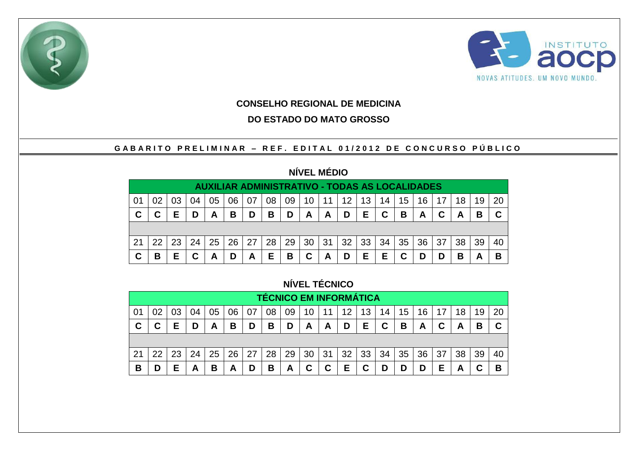



### **CONSELHO REGIONAL DE MEDICINA**

### **DO ESTADO DO MATO GROSSO**

### GABARITO PRELIMINAR - REF. EDITAL 01/2012 DE CONCURSO PÚBLICO

# **NÍVEL MÉDIO**

|     | <b>AUXILIAR ADMINISTRATIVO - TODAS AS LOCALIDADES</b> |    |    |    |    |    |    |    |                 |    |                 |    |    |    |    |    |    |    |    |
|-----|-------------------------------------------------------|----|----|----|----|----|----|----|-----------------|----|-----------------|----|----|----|----|----|----|----|----|
| -01 | 02                                                    |    |    | 05 | 06 | 07 | 08 | 09 | 10 <sup>°</sup> | 11 | 12 <sup>2</sup> | 13 | 14 | 15 | 16 |    | 18 | 19 | 20 |
| C   |                                                       |    |    | A  | B  | D  | B  | D  | A               | A  | D               | E. | C  | B  | Α  | C  | A  | в  |    |
|     |                                                       |    |    |    |    |    |    |    |                 |    |                 |    |    |    |    |    |    |    |    |
|     |                                                       |    |    |    |    |    |    |    |                 |    |                 |    |    |    |    |    |    |    |    |
| -21 | 22                                                    | 23 | 24 | 25 | 26 | 27 | 28 | 29 | 30 31           |    | 32              | 33 | 34 | 35 | 36 | 37 | 38 | 39 | 40 |

## **NÍVEL TÉCNICO**

|    | <b>TÉCNICO EM INFORMÁTICA</b> |    |    |    |    |    |    |    |    |    |    |    |    |    |    |    |    |    |    |
|----|-------------------------------|----|----|----|----|----|----|----|----|----|----|----|----|----|----|----|----|----|----|
| 01 | 02                            |    | 04 | 05 | 06 | 07 | 08 | 09 | 10 | 11 | 12 | 13 | 14 | 15 | 16 | 17 | 18 | 19 | 20 |
| C  | С                             | Е  | D  | Α  | в  | D  | B  | D  | A  | A  | D  | Е  | C  | В  | А  |    | А  | В  |    |
|    |                               |    |    |    |    |    |    |    |    |    |    |    |    |    |    |    |    |    |    |
| 21 | 22                            | 23 | 24 | 25 | 26 | 27 | 28 | 29 | 30 | 31 | 32 | 33 | 34 | 35 | 36 | 37 | 38 | 39 | 40 |
| B  | D                             | Е  | Α  | в  | A  | D  | В  | A  | C  | С  | Ε  | С  | D  | D  | D  | Е  | А  |    | В  |